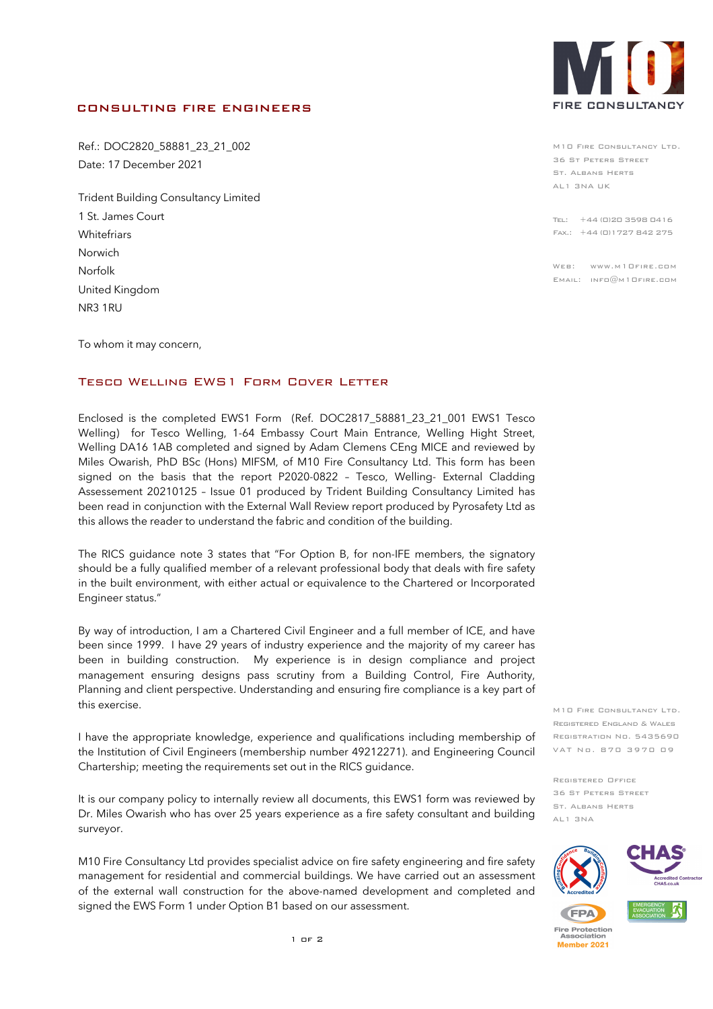## CONSULTING FIRE ENGINEERS

Ref.: DOC2820\_58881\_23\_21\_002 Date: 17 December 2021

Trident Building Consultancy Limited 1 St. James Court **Whitefriars** Norwich Norfolk United Kingdom NR3 1RU

To whom it may concern,

## Tesco Welling EWS1 Form Cover Letter

Enclosed is the completed EWS1 Form (Ref. DOC2817\_58881\_23\_21\_001 EWS1 Tesco Welling) for Tesco Welling, 1-64 Embassy Court Main Entrance, Welling Hight Street, Welling DA16 1AB completed and signed by Adam Clemens CEng MICE and reviewed by Miles Owarish, PhD BSc (Hons) MIFSM, of M10 Fire Consultancy Ltd. This form has been signed on the basis that the report P2020-0822 – Tesco, Welling- External Cladding Assessement 20210125 – Issue 01 produced by Trident Building Consultancy Limited has been read in conjunction with the External Wall Review report produced by Pyrosafety Ltd as this allows the reader to understand the fabric and condition of the building.

The RICS guidance note 3 states that "For Option B, for non-IFE members, the signatory should be a fully qualified member of a relevant professional body that deals with fire safety in the built environment, with either actual or equivalence to the Chartered or Incorporated Engineer status."

By way of introduction, I am a Chartered Civil Engineer and a full member of ICE, and have been since 1999. I have 29 years of industry experience and the majority of my career has been in building construction. My experience is in design compliance and project management ensuring designs pass scrutiny from a Building Control, Fire Authority, Planning and client perspective. Understanding and ensuring fire compliance is a key part of this exercise.

I have the appropriate knowledge, experience and qualifications including membership of the Institution of Civil Engineers (membership number 49212271). and Engineering Council Chartership; meeting the requirements set out in the RICS guidance.

It is our company policy to internally review all documents, this EWS1 form was reviewed by Dr. Miles Owarish who has over 25 years experience as a fire safety consultant and building surveyor.

M10 Fire Consultancy Ltd provides specialist advice on fire safety engineering and fire safety management for residential and commercial buildings. We have carried out an assessment of the external wall construction for the above-named development and completed and signed the EWS Form 1 under Option B1 based on our assessment.

1 of 2



AL1 3NA UK M10 Fire Consultancy Ltd. 36 St Peters Street St. Albans Herts

Arquen House Tel: +44 (0)20 3598 0416 FAX.: +44 (0)1727 842 275

.<br>Web: www.m10fire.com Email: info@m10fire.com

M10 FIRE CONSULTANCY LTD. Registered England & Wales Registration No. 5435690 VAT No. 870 3970 09

Registered Office 36 St Peters Street St. Albans Herts AL1 3NA







**Fire Protection** Association Member 2021